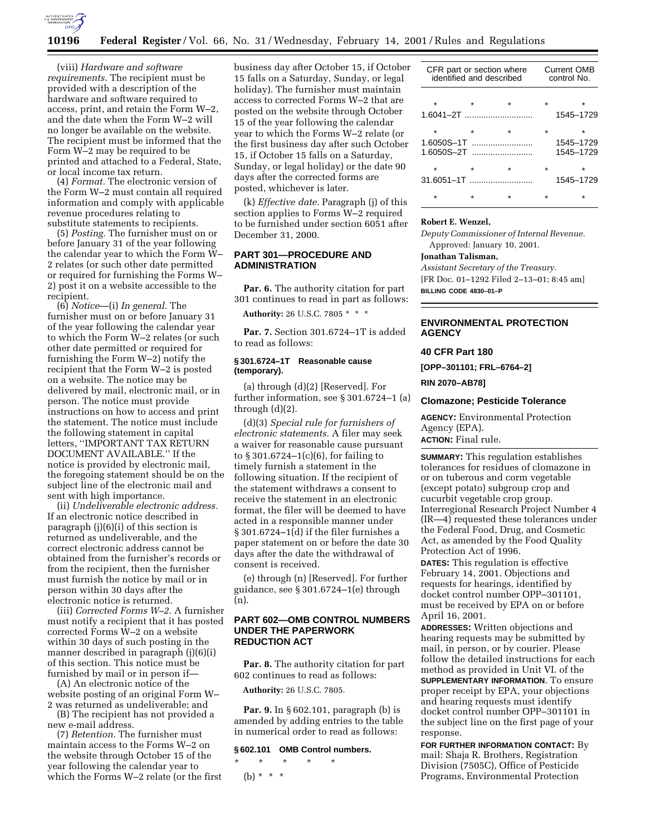

## **10196 Federal Register** / Vol. 66, No. 31 / Wednesday, February 14, 2001 / Rules and Regulations

(viii) *Hardware and software requirements.* The recipient must be provided with a description of the hardware and software required to access, print, and retain the Form W–2, and the date when the Form W–2 will no longer be available on the website. The recipient must be informed that the Form W–2 may be required to be printed and attached to a Federal, State, or local income tax return.

(4) *Format.* The electronic version of the Form W–2 must contain all required information and comply with applicable revenue procedures relating to substitute statements to recipients.

(5) *Posting.* The furnisher must on or before January 31 of the year following the calendar year to which the Form W– 2 relates (or such other date permitted or required for furnishing the Forms W– 2) post it on a website accessible to the recipient.

(6) *Notice*—(i) *In general.* The furnisher must on or before January 31 of the year following the calendar year to which the Form W–2 relates (or such other date permitted or required for furnishing the Form W–2) notify the recipient that the Form W–2 is posted on a website. The notice may be delivered by mail, electronic mail, or in person. The notice must provide instructions on how to access and print the statement. The notice must include the following statement in capital letters, ''IMPORTANT TAX RETURN DOCUMENT AVAILABLE.'' If the notice is provided by electronic mail, the foregoing statement should be on the subject line of the electronic mail and sent with high importance.

(ii) *Undeliverable electronic address.* If an electronic notice described in paragraph (j)(6)(i) of this section is returned as undeliverable, and the correct electronic address cannot be obtained from the furnisher's records or from the recipient, then the furnisher must furnish the notice by mail or in person within 30 days after the electronic notice is returned.

(iii) *Corrected Forms W–2.* A furnisher must notify a recipient that it has posted corrected Forms W–2 on a website within 30 days of such posting in the manner described in paragraph (j)(6)(i) of this section. This notice must be furnished by mail or in person if—

(A) An electronic notice of the website posting of an original Form W– 2 was returned as undeliverable; and

(B) The recipient has not provided a new e-mail address.

(7) *Retention.* The furnisher must maintain access to the Forms W–2 on the website through October 15 of the year following the calendar year to which the Forms W–2 relate (or the first business day after October 15, if October 15 falls on a Saturday, Sunday, or legal holiday). The furnisher must maintain access to corrected Forms W–2 that are posted on the website through October 15 of the year following the calendar year to which the Forms W–2 relate (or the first business day after such October 15, if October 15 falls on a Saturday, Sunday, or legal holiday) or the date 90 days after the corrected forms are posted, whichever is later.

(k) *Effective date.* Paragraph (j) of this section applies to Forms W–2 required to be furnished under section 6051 after December 31, 2000.

# **PART 301—PROCEDURE AND ADMINISTRATION**

Par. 6. The authority citation for part 301 continues to read in part as follows:

**Authority:** 26 U.S.C. 7805 \* \* \*

**Par. 7.** Section 301.6724–1T is added to read as follows:

### **§ 301.6724–1T Reasonable cause (temporary).**

(a) through (d)(2) [Reserved]. For further information, see § 301.6724–1 (a) through (d)(2).

(d)(3) *Special rule for furnishers of electronic statements.* A filer may seek a waiver for reasonable cause pursuant to § 301.6724–1(c)(6), for failing to timely furnish a statement in the following situation. If the recipient of the statement withdraws a consent to receive the statement in an electronic format, the filer will be deemed to have acted in a responsible manner under § 301.6724–1(d) if the filer furnishes a paper statement on or before the date 30 days after the date the withdrawal of consent is received.

(e) through (n) [Reserved]. For further guidance, see § 301.6724–1(e) through (n).

# **PART 602—OMB CONTROL NUMBERS UNDER THE PAPERWORK REDUCTION ACT**

**Par. 8.** The authority citation for part 602 continues to read as follows:

**Authority:** 26 U.S.C. 7805.

**Par. 9.** In § 602.101, paragraph (b) is amended by adding entries to the table in numerical order to read as follows:

### **§ 602.101 OMB Control numbers.**

\* \* \* \* \* (b) \* \* \*

| CFR part or section where<br>identified and described | <b>Current OMB</b><br>control No. |                             |  |
|-------------------------------------------------------|-----------------------------------|-----------------------------|--|
|                                                       |                                   |                             |  |
|                                                       |                                   | 1545-1729                   |  |
| 1.6050S-1T                                            |                                   | ÷<br>1545-1729<br>1545-1729 |  |
| $\star$<br>$31.6051 - 1$                              |                                   | ÷<br>1545-1729              |  |
|                                                       |                                   |                             |  |

#### **Robert E. Wenzel,**

*Deputy Commissioner of Internal Revenue.* Approved: January 10, 2001.

# **Jonathan Talisman,**

*Assistant Secretary of the Treasury.* [FR Doc. 01–1292 Filed 2–13–01; 8:45 am] **BILLING CODE 4830–01–P**

## **ENVIRONMENTAL PROTECTION AGENCY**

### **40 CFR Part 180**

**[OPP–301101; FRL–6764–2]**

**RIN 2070–AB78]**

## **Clomazone; Pesticide Tolerance**

**AGENCY:** Environmental Protection Agency (EPA). **ACTION:** Final rule.

**SUMMARY:** This regulation establishes tolerances for residues of clomazone in or on tuberous and corm vegetable (except potato) subgroup crop and cucurbit vegetable crop group. Interregional Research Project Number 4 (IR—4) requested these tolerances under the Federal Food, Drug, and Cosmetic Act, as amended by the Food Quality Protection Act of 1996.

**DATES:** This regulation is effective February 14, 2001. Objections and requests for hearings, identified by docket control number OPP–301101, must be received by EPA on or before April 16, 2001.

**ADDRESSES:** Written objections and hearing requests may be submitted by mail, in person, or by courier. Please follow the detailed instructions for each method as provided in Unit VI. of the **SUPPLEMENTARY INFORMATION**. To ensure proper receipt by EPA, your objections and hearing requests must identify docket control number OPP–301101 in the subject line on the first page of your response.

**FOR FURTHER INFORMATION CONTACT:** By mail: Shaja R. Brothers, Registration Division (7505C), Office of Pesticide Programs, Environmental Protection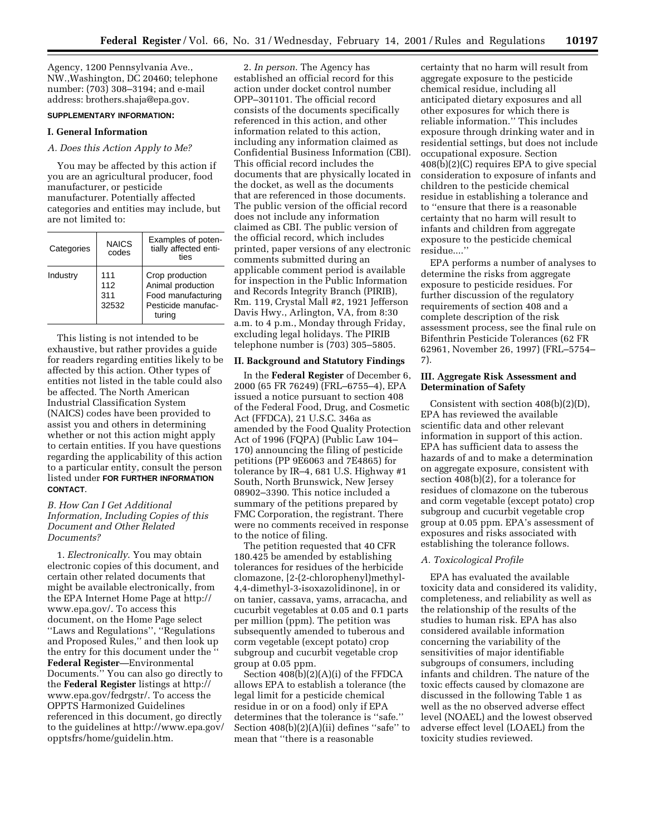Agency, 1200 Pennsylvania Ave., NW.,Washington, DC 20460; telephone number: (703) 308–3194; and e-mail address: brothers.shaja@epa.gov.

## **SUPPLEMENTARY INFORMATION:**

## **I. General Information**

## *A. Does this Action Apply to Me?*

You may be affected by this action if you are an agricultural producer, food manufacturer, or pesticide manufacturer. Potentially affected categories and entities may include, but are not limited to:

| Categories | <b>NAICS</b><br>codes      | Examples of poten-<br>tially affected enti-<br>ties                                        |  |  |
|------------|----------------------------|--------------------------------------------------------------------------------------------|--|--|
| Industry   | 111<br>112<br>311<br>32532 | Crop production<br>Animal production<br>Food manufacturing<br>Pesticide manufac-<br>turing |  |  |

This listing is not intended to be exhaustive, but rather provides a guide for readers regarding entities likely to be affected by this action. Other types of entities not listed in the table could also be affected. The North American Industrial Classification System (NAICS) codes have been provided to assist you and others in determining whether or not this action might apply to certain entities. If you have questions regarding the applicability of this action to a particular entity, consult the person listed under **FOR FURTHER INFORMATION CONTACT**.

# *B. How Can I Get Additional Information, Including Copies of this Document and Other Related Documents?*

1. *Electronically*. You may obtain electronic copies of this document, and certain other related documents that might be available electronically, from the EPA Internet Home Page at http:// www.epa.gov/. To access this document, on the Home Page select ''Laws and Regulations'', ''Regulations and Proposed Rules,'' and then look up the entry for this document under the '' **Federal Register**—Environmental Documents.'' You can also go directly to the **Federal Register** listings at http:// www.epa.gov/fedrgstr/. To access the OPPTS Harmonized Guidelines referenced in this document, go directly to the guidelines at http://www.epa.gov/ opptsfrs/home/guidelin.htm.

2. *In person*. The Agency has established an official record for this action under docket control number OPP–301101. The official record consists of the documents specifically referenced in this action, and other information related to this action, including any information claimed as Confidential Business Information (CBI). This official record includes the documents that are physically located in the docket, as well as the documents that are referenced in those documents. The public version of the official record does not include any information claimed as CBI. The public version of the official record, which includes printed, paper versions of any electronic comments submitted during an applicable comment period is available for inspection in the Public Information and Records Integrity Branch (PIRIB), Rm. 119, Crystal Mall #2, 1921 Jefferson Davis Hwy., Arlington, VA, from 8:30 a.m. to 4 p.m., Monday through Friday, excluding legal holidays. The PIRIB telephone number is (703) 305–5805.

#### **II. Background and Statutory Findings**

In the **Federal Register** of December 6, 2000 (65 FR 76249) (FRL–6755–4), EPA issued a notice pursuant to section 408 of the Federal Food, Drug, and Cosmetic Act (FFDCA), 21 U.S.C. 346a as amended by the Food Quality Protection Act of 1996 (FQPA) (Public Law 104– 170) announcing the filing of pesticide petitions (PP 9E6063 and 7E4865) for tolerance by IR–4, 681 U.S. Highway #1 South, North Brunswick, New Jersey 08902–3390. This notice included a summary of the petitions prepared by FMC Corporation, the registrant. There were no comments received in response to the notice of filing.

The petition requested that 40 CFR 180.425 be amended by establishing tolerances for residues of the herbicide clomazone, [2-(2-chlorophenyl)methyl-4,4-dimethyl-3-isoxazolidinone], in or on tanier, cassava, yams, arracacha, and cucurbit vegetables at 0.05 and 0.1 parts per million (ppm). The petition was subsequently amended to tuberous and corm vegetable (except potato) crop subgroup and cucurbit vegetable crop group at 0.05 ppm.

Section 408(b)(2)(A)(i) of the FFDCA allows EPA to establish a tolerance (the legal limit for a pesticide chemical residue in or on a food) only if EPA determines that the tolerance is ''safe.'' Section  $408(b)(2)(A)(ii)$  defines "safe" to mean that ''there is a reasonable

certainty that no harm will result from aggregate exposure to the pesticide chemical residue, including all anticipated dietary exposures and all other exposures for which there is reliable information.'' This includes exposure through drinking water and in residential settings, but does not include occupational exposure. Section 408(b)(2)(C) requires EPA to give special consideration to exposure of infants and children to the pesticide chemical residue in establishing a tolerance and to ''ensure that there is a reasonable certainty that no harm will result to infants and children from aggregate exposure to the pesticide chemical residue....''

EPA performs a number of analyses to determine the risks from aggregate exposure to pesticide residues. For further discussion of the regulatory requirements of section 408 and a complete description of the risk assessment process, see the final rule on Bifenthrin Pesticide Tolerances (62 FR 62961, November 26, 1997) (FRL–5754– 7).

## **III. Aggregate Risk Assessment and Determination of Safety**

Consistent with section 408(b)(2)(D), EPA has reviewed the available scientific data and other relevant information in support of this action. EPA has sufficient data to assess the hazards of and to make a determination on aggregate exposure, consistent with section 408(b)(2), for a tolerance for residues of clomazone on the tuberous and corm vegetable (except potato) crop subgroup and cucurbit vegetable crop group at 0.05 ppm. EPA's assessment of exposures and risks associated with establishing the tolerance follows.

#### *A. Toxicological Profile*

EPA has evaluated the available toxicity data and considered its validity, completeness, and reliability as well as the relationship of the results of the studies to human risk. EPA has also considered available information concerning the variability of the sensitivities of major identifiable subgroups of consumers, including infants and children. The nature of the toxic effects caused by clomazone are discussed in the following Table 1 as well as the no observed adverse effect level (NOAEL) and the lowest observed adverse effect level (LOAEL) from the toxicity studies reviewed.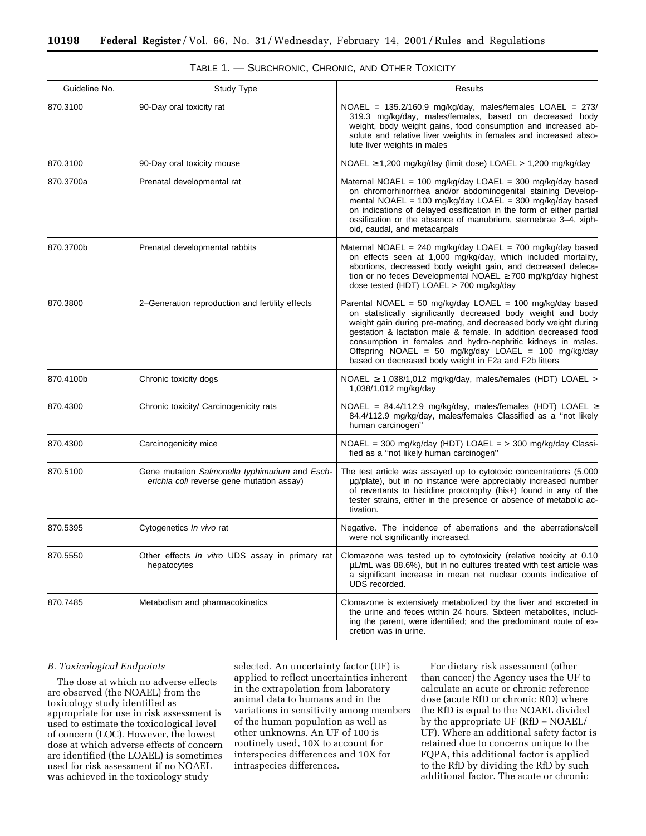| Guideline No.                                      | Study Type                                                                                  | Results                                                                                                                                                                                                                                                                                                                                                                                                                                           |
|----------------------------------------------------|---------------------------------------------------------------------------------------------|---------------------------------------------------------------------------------------------------------------------------------------------------------------------------------------------------------------------------------------------------------------------------------------------------------------------------------------------------------------------------------------------------------------------------------------------------|
| 870.3100                                           | 90-Day oral toxicity rat                                                                    | NOAEL = $135.2/160.9$ mg/kg/day, males/females LOAEL = $273/$<br>319.3 mg/kg/day, males/females, based on decreased body<br>weight, body weight gains, food consumption and increased ab-<br>solute and relative liver weights in females and increased abso-<br>lute liver weights in males                                                                                                                                                      |
| 870.3100                                           | 90-Day oral toxicity mouse                                                                  | NOAEL ≥ 1,200 mg/kg/day (limit dose) LOAEL > 1,200 mg/kg/day                                                                                                                                                                                                                                                                                                                                                                                      |
| 870.3700a<br>Prenatal developmental rat            |                                                                                             | Maternal NOAEL = 100 mg/kg/day LOAEL = 300 mg/kg/day based<br>on chromorhinorrhea and/or abdominogenital staining Develop-<br>mental NOAEL = 100 mg/kg/day LOAEL = 300 mg/kg/day based<br>on indications of delayed ossification in the form of either partial<br>ossification or the absence of manubrium, sternebrae 3-4, xiph-<br>oid, caudal, and metacarpals                                                                                 |
| 870.3700b<br>Prenatal developmental rabbits        |                                                                                             | Maternal NOAEL = 240 mg/kg/day LOAEL = 700 mg/kg/day based<br>on effects seen at 1,000 mg/kg/day, which included mortality,<br>abortions, decreased body weight gain, and decreased defeca-<br>tion or no feces Developmental NOAEL ≥ 700 mg/kg/day highest<br>dose tested (HDT) LOAEL > 700 mg/kg/day                                                                                                                                            |
| 870.3800                                           | 2-Generation reproduction and fertility effects                                             | Parental NOAEL = 50 mg/kg/day LOAEL = 100 mg/kg/day based<br>on statistically significantly decreased body weight and body<br>weight gain during pre-mating, and decreased body weight during<br>gestation & lactation male & female. In addition decreased food<br>consumption in females and hydro-nephritic kidneys in males.<br>Offspring NOAEL = 50 mg/kg/day LOAEL = 100 mg/kg/day<br>based on decreased body weight in F2a and F2b litters |
| 870.4100b                                          | Chronic toxicity dogs                                                                       | NOAEL $\geq$ 1,038/1,012 mg/kg/day, males/females (HDT) LOAEL ><br>1,038/1,012 mg/kg/day                                                                                                                                                                                                                                                                                                                                                          |
| 870.4300<br>Chronic toxicity/ Carcinogenicity rats |                                                                                             | NOAEL = $84.4/112.9$ mg/kg/day, males/females (HDT) LOAEL $\geq$<br>84.4/112.9 mg/kg/day, males/females Classified as a "not likely<br>human carcinogen"                                                                                                                                                                                                                                                                                          |
| 870.4300                                           | Carcinogenicity mice                                                                        | NOAEL = $300 \text{ mg/kg/day}$ (HDT) LOAEL = $> 300 \text{ mg/kg/day}$ Classi-<br>fied as a "not likely human carcinogen"                                                                                                                                                                                                                                                                                                                        |
| 870.5100                                           | Gene mutation Salmonella typhimurium and Esch-<br>erichia coli reverse gene mutation assay) | The test article was assayed up to cytotoxic concentrations (5,000)<br>µg/plate), but in no instance were appreciably increased number<br>of revertants to histidine prototrophy (his+) found in any of the<br>tester strains, either in the presence or absence of metabolic ac-<br>tivation.                                                                                                                                                    |
| 870.5395                                           | Cytogenetics In vivo rat                                                                    | Negative. The incidence of aberrations and the aberrations/cell<br>were not significantly increased.                                                                                                                                                                                                                                                                                                                                              |
| 870.5550                                           | Other effects In vitro UDS assay in primary rat<br>hepatocytes                              | Clomazone was tested up to cytotoxicity (relative toxicity at 0.10<br>$\mu$ L/mL was 88.6%), but in no cultures treated with test article was<br>a significant increase in mean net nuclear counts indicative of<br>UDS recorded.                                                                                                                                                                                                                 |
| 870.7485                                           | Metabolism and pharmacokinetics                                                             | Clomazone is extensively metabolized by the liver and excreted in<br>the urine and feces within 24 hours. Sixteen metabolites, includ-<br>ing the parent, were identified; and the predominant route of ex-<br>cretion was in urine.                                                                                                                                                                                                              |

| TABLE 1. — SUBCHRONIC, CHRONIC, AND OTHER TOXICITY |  |  |  |
|----------------------------------------------------|--|--|--|
|----------------------------------------------------|--|--|--|

# *B. Toxicological Endpoints*

The dose at which no adverse effects are observed (the NOAEL) from the toxicology study identified as appropriate for use in risk assessment is used to estimate the toxicological level of concern (LOC). However, the lowest dose at which adverse effects of concern are identified (the LOAEL) is sometimes used for risk assessment if no NOAEL was achieved in the toxicology study

selected. An uncertainty factor (UF) is applied to reflect uncertainties inherent in the extrapolation from laboratory animal data to humans and in the variations in sensitivity among members of the human population as well as other unknowns. An UF of 100 is routinely used, 10X to account for interspecies differences and 10X for intraspecies differences.

For dietary risk assessment (other than cancer) the Agency uses the UF to calculate an acute or chronic reference dose (acute RfD or chronic RfD) where the RfD is equal to the NOAEL divided by the appropriate UF (RfD = NOAEL/ UF). Where an additional safety factor is retained due to concerns unique to the FQPA, this additional factor is applied to the RfD by dividing the RfD by such additional factor. The acute or chronic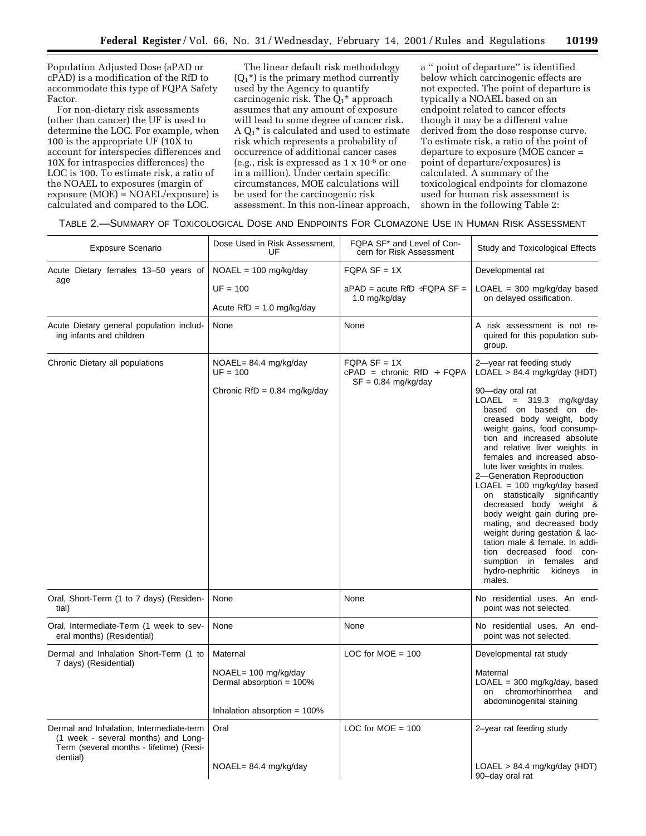Population Adjusted Dose (aPAD or cPAD) is a modification of the RfD to accommodate this type of FQPA Safety Factor.

For non-dietary risk assessments (other than cancer) the UF is used to determine the LOC. For example, when 100 is the appropriate UF (10X to account for interspecies differences and 10X for intraspecies differences) the LOC is 100. To estimate risk, a ratio of the NOAEL to exposures (margin of exposure (MOE) = NOAEL/exposure) is calculated and compared to the LOC.

The linear default risk methodology  $(Q_1^*)$  is the primary method currently used by the Agency to quantify carcinogenic risk. The  $\bar{Q}_1$ <sup>\*</sup> approach assumes that any amount of exposure will lead to some degree of cancer risk.  $A Q_1^*$  is calculated and used to estimate risk which represents a probability of occurrence of additional cancer cases (e.g., risk is expressed as 1 x 10-6 or one in a million). Under certain specific circumstances, MOE calculations will be used for the carcinogenic risk assessment. In this non-linear approach,

a '' point of departure'' is identified below which carcinogenic effects are not expected. The point of departure is typically a NOAEL based on an endpoint related to cancer effects though it may be a different value derived from the dose response curve. To estimate risk, a ratio of the point of departure to exposure (MOE cancer = point of departure/exposures) is calculated. A summary of the toxicological endpoints for clomazone used for human risk assessment is shown in the following Table 2:

|  |  |  |  | TABLE 2.—SUMMARY OF TOXICOLOGICAL DOSE AND ENDPOINTS FOR CLOMAZONE USE IN HUMAN RISK ASSESSMENT |
|--|--|--|--|-------------------------------------------------------------------------------------------------|
|--|--|--|--|-------------------------------------------------------------------------------------------------|

| <b>Exposure Scenario</b>                                                                                                               | Dose Used in Risk Assessment,<br>UF                                                             | FQPA SF* and Level of Con-<br>cern for Risk Assessment                 | Study and Toxicological Effects                                                                                                                                                                                                                                                                                                                                                                                                                                                                                                                                                                                                                                                      |  |
|----------------------------------------------------------------------------------------------------------------------------------------|-------------------------------------------------------------------------------------------------|------------------------------------------------------------------------|--------------------------------------------------------------------------------------------------------------------------------------------------------------------------------------------------------------------------------------------------------------------------------------------------------------------------------------------------------------------------------------------------------------------------------------------------------------------------------------------------------------------------------------------------------------------------------------------------------------------------------------------------------------------------------------|--|
| Acute Dietary females 13-50 years of                                                                                                   | $NOAEL = 100 mg/kg/day$                                                                         | $FQPA SF = 1X$                                                         | Developmental rat                                                                                                                                                                                                                                                                                                                                                                                                                                                                                                                                                                                                                                                                    |  |
| age                                                                                                                                    | $UF = 100$<br>Acute $RfD = 1.0$ mg/kg/day                                                       | $aPAD = acute$ RfD ÷FQPA SF =<br>1.0 mg/kg/day                         | $LOAEL = 300$ mg/kg/day based<br>on delayed ossification.                                                                                                                                                                                                                                                                                                                                                                                                                                                                                                                                                                                                                            |  |
| Acute Dietary general population includ-<br>ing infants and children                                                                   | None                                                                                            | None                                                                   | A risk assessment is not re-<br>quired for this population sub-<br>group.                                                                                                                                                                                                                                                                                                                                                                                                                                                                                                                                                                                                            |  |
| Chronic Dietary all populations                                                                                                        | $NOAEL = 84.4 mg/kg/day$<br>$UF = 100$<br>Chronic RfD = $0.84 \text{ mg/kg/day}$                | $FQPA SF = 1X$<br>$cPAD =$ chronic RfD ÷ FQPA<br>$SF = 0.84$ mg/kg/day | 2-year rat feeding study<br>LOAEL > 84.4 mg/kg/day (HDT)<br>90-day oral rat<br>LOAEL = $319.3$ mg/kg/day<br>based on based on de-<br>creased body weight, body<br>weight gains, food consump-<br>tion and increased absolute<br>and relative liver weights in<br>females and increased abso-<br>lute liver weights in males.<br>2-Generation Reproduction<br>$LOAEL = 100 mg/kg/day$ based<br>on statistically significantly<br>decreased body weight &<br>body weight gain during pre-<br>mating, and decreased body<br>weight during gestation & lac-<br>tation male & female. In addi-<br>tion decreased food<br>con-<br>sumption in females and<br>hydro-nephritic<br>kidneys in |  |
| Oral, Short-Term (1 to 7 days) (Residen-<br>tial)                                                                                      | None                                                                                            | None                                                                   | No residential uses. An end-<br>point was not selected.                                                                                                                                                                                                                                                                                                                                                                                                                                                                                                                                                                                                                              |  |
| Oral, Intermediate-Term (1 week to sev-<br>eral months) (Residential)                                                                  | None                                                                                            | None                                                                   | No residential uses. An end-<br>point was not selected.                                                                                                                                                                                                                                                                                                                                                                                                                                                                                                                                                                                                                              |  |
| Dermal and Inhalation Short-Term (1 to<br>7 days) (Residential)                                                                        | Maternal<br>$NOAEL = 100$ mg/kg/day<br>Dermal absorption = 100%<br>Inhalation absorption = 100% | LOC for $MOE = 100$                                                    | Developmental rat study<br>Maternal<br>$LOAEL = 300 mg/kg/day$ , based<br>on chromorhinorrhea<br>and<br>abdominogenital staining                                                                                                                                                                                                                                                                                                                                                                                                                                                                                                                                                     |  |
| Dermal and Inhalation, Intermediate-term<br>(1 week - several months) and Long-<br>Term (several months - lifetime) (Resi-<br>dential) | Oral<br>$NOAEL = 84.4 mg/kg/day$                                                                | LOC for $MOE = 100$                                                    | 2-year rat feeding study<br>LOAEL > 84.4 mg/kg/day (HDT)<br>90-day oral rat                                                                                                                                                                                                                                                                                                                                                                                                                                                                                                                                                                                                          |  |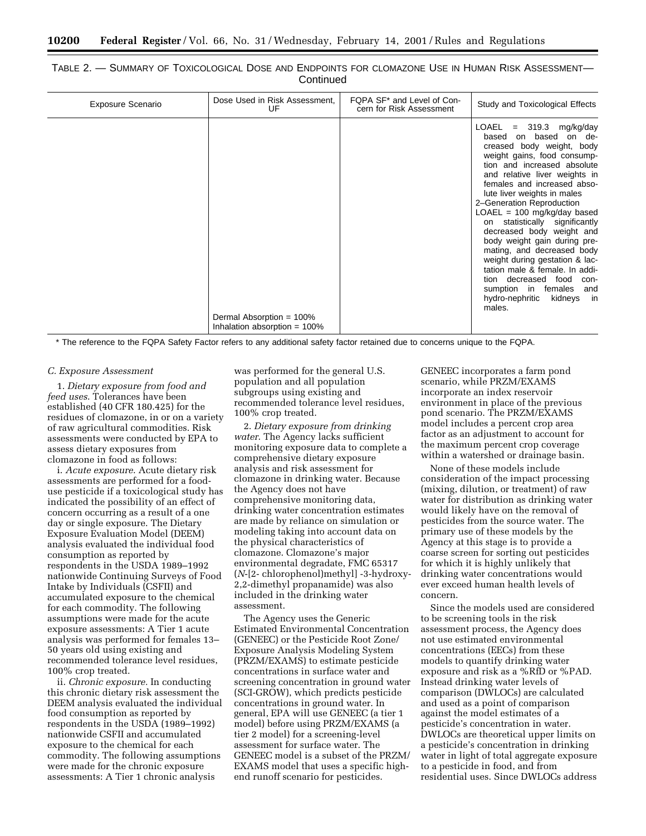| TABLE 2. - SUMMARY OF TOXICOLOGICAL DOSE AND ENDPOINTS FOR CLOMAZONE USE IN HUMAN RISK ASSESSMENT- |           |  |  |
|----------------------------------------------------------------------------------------------------|-----------|--|--|
|                                                                                                    | Continued |  |  |

| <b>Exposure Scenario</b> | Dose Used in Risk Assessment,<br>UF                         | FQPA SF* and Level of Con-<br>cern for Risk Assessment | Study and Toxicological Effects<br>LOAEL = $319.3$ mg/kg/day                                                                                                                                                                                                                                                                                                                                                                                                                                                                                                                  |
|--------------------------|-------------------------------------------------------------|--------------------------------------------------------|-------------------------------------------------------------------------------------------------------------------------------------------------------------------------------------------------------------------------------------------------------------------------------------------------------------------------------------------------------------------------------------------------------------------------------------------------------------------------------------------------------------------------------------------------------------------------------|
|                          |                                                             |                                                        |                                                                                                                                                                                                                                                                                                                                                                                                                                                                                                                                                                               |
|                          | Dermal Absorption = 100%<br>Inhalation absorption $= 100\%$ |                                                        | based on based on de-<br>creased body weight, body<br>weight gains, food consump-<br>tion and increased absolute<br>and relative liver weights in<br>females and increased abso-<br>lute liver weights in males<br>2-Generation Reproduction<br>$LOAEL = 100 mg/kg/day$ based<br>on statistically significantly<br>decreased body weight and<br>body weight gain during pre-<br>mating, and decreased body<br>weight during gestation & lac-<br>tation male & female. In addi-<br>tion decreased food con-<br>sumption in females and<br>hydro-nephritic kidneys in<br>males. |

\* The reference to the FQPA Safety Factor refers to any additional safety factor retained due to concerns unique to the FQPA.

#### *C. Exposure Assessment*

1. *Dietary exposure from food and feed uses*. Tolerances have been established (40 CFR 180.425) for the residues of clomazone, in or on a variety of raw agricultural commodities. Risk assessments were conducted by EPA to assess dietary exposures from clomazone in food as follows:

i. *Acute exposure*. Acute dietary risk assessments are performed for a fooduse pesticide if a toxicological study has indicated the possibility of an effect of concern occurring as a result of a one day or single exposure. The Dietary Exposure Evaluation Model (DEEM) analysis evaluated the individual food consumption as reported by respondents in the USDA 1989–1992 nationwide Continuing Surveys of Food Intake by Individuals (CSFII) and accumulated exposure to the chemical for each commodity. The following assumptions were made for the acute exposure assessments: A Tier 1 acute analysis was performed for females 13– 50 years old using existing and recommended tolerance level residues, 100% crop treated.

ii. *Chronic exposure.* In conducting this chronic dietary risk assessment the DEEM analysis evaluated the individual food consumption as reported by respondents in the USDA (1989–1992) nationwide CSFII and accumulated exposure to the chemical for each commodity. The following assumptions were made for the chronic exposure assessments: A Tier 1 chronic analysis

was performed for the general U.S. population and all population subgroups using existing and recommended tolerance level residues, 100% crop treated.

2. *Dietary exposure from drinking water*. The Agency lacks sufficient monitoring exposure data to complete a comprehensive dietary exposure analysis and risk assessment for clomazone in drinking water. Because the Agency does not have comprehensive monitoring data, drinking water concentration estimates are made by reliance on simulation or modeling taking into account data on the physical characteristics of clomazone. Clomazone's major environmental degradate, FMC 65317 (*N*-[2- chlorophenol)methyl] -3-hydroxy-2,2-dimethyl propanamide) was also included in the drinking water assessment.

The Agency uses the Generic Estimated Environmental Concentration (GENEEC) or the Pesticide Root Zone/ Exposure Analysis Modeling System (PRZM/EXAMS) to estimate pesticide concentrations in surface water and screening concentration in ground water (SCI-GROW), which predicts pesticide concentrations in ground water. In general, EPA will use GENEEC (a tier 1 model) before using PRZM/EXAMS (a tier 2 model) for a screening-level assessment for surface water. The GENEEC model is a subset of the PRZM/ EXAMS model that uses a specific highend runoff scenario for pesticides.

GENEEC incorporates a farm pond scenario, while PRZM/EXAMS incorporate an index reservoir environment in place of the previous pond scenario. The PRZM/EXAMS model includes a percent crop area factor as an adjustment to account for the maximum percent crop coverage within a watershed or drainage basin.

None of these models include consideration of the impact processing (mixing, dilution, or treatment) of raw water for distribution as drinking water would likely have on the removal of pesticides from the source water. The primary use of these models by the Agency at this stage is to provide a coarse screen for sorting out pesticides for which it is highly unlikely that drinking water concentrations would ever exceed human health levels of concern.

Since the models used are considered to be screening tools in the risk assessment process, the Agency does not use estimated environmental concentrations (EECs) from these models to quantify drinking water exposure and risk as a %RfD or %PAD. Instead drinking water levels of comparison (DWLOCs) are calculated and used as a point of comparison against the model estimates of a pesticide's concentration in water. DWLOCs are theoretical upper limits on a pesticide's concentration in drinking water in light of total aggregate exposure to a pesticide in food, and from residential uses. Since DWLOCs address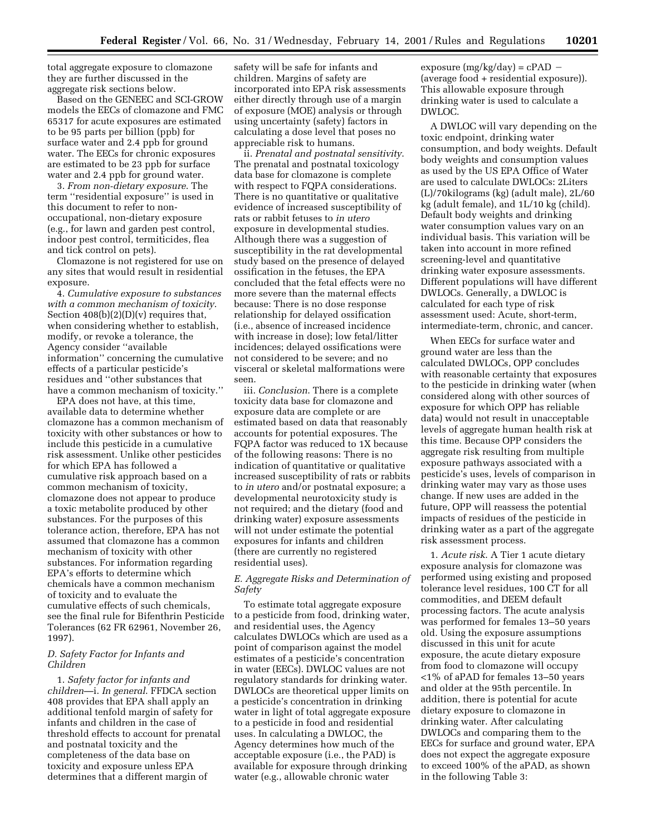total aggregate exposure to clomazone they are further discussed in the aggregate risk sections below.

Based on the GENEEC and SCI-GROW models the EECs of clomazone and FMC 65317 for acute exposures are estimated to be 95 parts per billion (ppb) for surface water and 2.4 ppb for ground water. The EECs for chronic exposures are estimated to be 23 ppb for surface water and 2.4 ppb for ground water.

3. *From non-dietary exposure*. The term ''residential exposure'' is used in this document to refer to nonoccupational, non-dietary exposure (e.g., for lawn and garden pest control, indoor pest control, termiticides, flea and tick control on pets).

Clomazone is not registered for use on any sites that would result in residential exposure.

4. *Cumulative exposure to substances with a common mechanism of toxicity*. Section  $408(b)(2)(D)(v)$  requires that, when considering whether to establish, modify, or revoke a tolerance, the Agency consider ''available information'' concerning the cumulative effects of a particular pesticide's residues and ''other substances that have a common mechanism of toxicity.''

EPA does not have, at this time, available data to determine whether clomazone has a common mechanism of toxicity with other substances or how to include this pesticide in a cumulative risk assessment. Unlike other pesticides for which EPA has followed a cumulative risk approach based on a common mechanism of toxicity, clomazone does not appear to produce a toxic metabolite produced by other substances. For the purposes of this tolerance action, therefore, EPA has not assumed that clomazone has a common mechanism of toxicity with other substances. For information regarding EPA's efforts to determine which chemicals have a common mechanism of toxicity and to evaluate the cumulative effects of such chemicals, see the final rule for Bifenthrin Pesticide Tolerances (62 FR 62961, November 26, 1997).

## *D. Safety Factor for Infants and Children*

1. *Safety factor for infants and children*—i. *In general*. FFDCA section 408 provides that EPA shall apply an additional tenfold margin of safety for infants and children in the case of threshold effects to account for prenatal and postnatal toxicity and the completeness of the data base on toxicity and exposure unless EPA determines that a different margin of

safety will be safe for infants and children. Margins of safety are incorporated into EPA risk assessments either directly through use of a margin of exposure (MOE) analysis or through using uncertainty (safety) factors in calculating a dose level that poses no appreciable risk to humans.

ii. *Prenatal and postnatal sensitivity*. The prenatal and postnatal toxicology data base for clomazone is complete with respect to FQPA considerations. There is no quantitative or qualitative evidence of increased susceptibility of rats or rabbit fetuses to *in utero* exposure in developmental studies. Although there was a suggestion of susceptibility in the rat developmental study based on the presence of delayed ossification in the fetuses, the EPA concluded that the fetal effects were no more severe than the maternal effects because: There is no dose response relationship for delayed ossification (i.e., absence of increased incidence with increase in dose); low fetal/litter incidences; delayed ossifications were not considered to be severe; and no visceral or skeletal malformations were seen.

iii. *Conclusion*. There is a complete toxicity data base for clomazone and exposure data are complete or are estimated based on data that reasonably accounts for potential exposures. The FQPA factor was reduced to 1X because of the following reasons: There is no indication of quantitative or qualitative increased susceptibility of rats or rabbits to *in utero* and/or postnatal exposure; a developmental neurotoxicity study is not required; and the dietary (food and drinking water) exposure assessments will not under estimate the potential exposures for infants and children (there are currently no registered residential uses).

# *E. Aggregate Risks and Determination of Safety*

To estimate total aggregate exposure to a pesticide from food, drinking water, and residential uses, the Agency calculates DWLOCs which are used as a point of comparison against the model estimates of a pesticide's concentration in water (EECs). DWLOC values are not regulatory standards for drinking water. DWLOCs are theoretical upper limits on a pesticide's concentration in drinking water in light of total aggregate exposure to a pesticide in food and residential uses. In calculating a DWLOC, the Agency determines how much of the acceptable exposure (i.e., the PAD) is available for exposure through drinking water (e.g., allowable chronic water

exposure  $(mg/kg/day) = cPAD$  – (average food + residential exposure)). This allowable exposure through drinking water is used to calculate a DWLOC.

A DWLOC will vary depending on the toxic endpoint, drinking water consumption, and body weights. Default body weights and consumption values as used by the US EPA Office of Water are used to calculate DWLOCs: 2Liters (L)/70kilograms (kg) (adult male), 2L/60 kg (adult female), and 1L/10 kg (child). Default body weights and drinking water consumption values vary on an individual basis. This variation will be taken into account in more refined screening-level and quantitative drinking water exposure assessments. Different populations will have different DWLOCs. Generally, a DWLOC is calculated for each type of risk assessment used: Acute, short-term, intermediate-term, chronic, and cancer.

When EECs for surface water and ground water are less than the calculated DWLOCs, OPP concludes with reasonable certainty that exposures to the pesticide in drinking water (when considered along with other sources of exposure for which OPP has reliable data) would not result in unacceptable levels of aggregate human health risk at this time. Because OPP considers the aggregate risk resulting from multiple exposure pathways associated with a pesticide's uses, levels of comparison in drinking water may vary as those uses change. If new uses are added in the future, OPP will reassess the potential impacts of residues of the pesticide in drinking water as a part of the aggregate risk assessment process.

1. *Acute risk*. A Tier 1 acute dietary exposure analysis for clomazone was performed using existing and proposed tolerance level residues, 100 CT for all commodities, and DEEM default processing factors. The acute analysis was performed for females 13–50 years old. Using the exposure assumptions discussed in this unit for acute exposure, the acute dietary exposure from food to clomazone will occupy <1% of aPAD for females 13–50 years and older at the 95th percentile. In addition, there is potential for acute dietary exposure to clomazone in drinking water. After calculating DWLOCs and comparing them to the EECs for surface and ground water, EPA does not expect the aggregate exposure to exceed 100% of the aPAD, as shown in the following Table 3: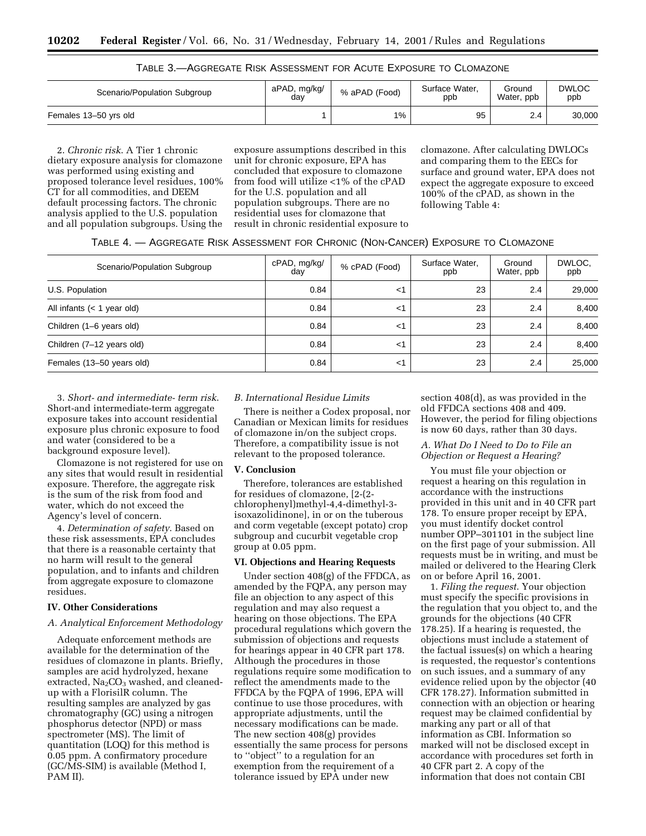| TABLE 3.- AGGREGATE RISK ASSESSMENT FOR ACUTE EXPOSURE TO CLOMAZONE |  |  |  |
|---------------------------------------------------------------------|--|--|--|
|---------------------------------------------------------------------|--|--|--|

| Scenario/Population Subgroup | aPAD, mg/kg/<br>day | % aPAD (Food) | Surface Water.<br>ppb | Ground<br>Water, ppb | <b>DWLOC</b><br>ppb |
|------------------------------|---------------------|---------------|-----------------------|----------------------|---------------------|
| Females 13-50 yrs old        |                     | 1%            | 95                    | 2.4                  | 30,000              |

2. *Chronic risk*. A Tier 1 chronic dietary exposure analysis for clomazone was performed using existing and proposed tolerance level residues, 100% CT for all commodities, and DEEM default processing factors. The chronic analysis applied to the U.S. population and all population subgroups. Using the

exposure assumptions described in this unit for chronic exposure, EPA has concluded that exposure to clomazone from food will utilize <1% of the cPAD for the U.S. population and all population subgroups. There are no residential uses for clomazone that result in chronic residential exposure to clomazone. After calculating DWLOCs and comparing them to the EECs for surface and ground water, EPA does not expect the aggregate exposure to exceed 100% of the cPAD, as shown in the following Table 4:

TABLE 4. — AGGREGATE RISK ASSESSMENT FOR CHRONIC (NON-CANCER) EXPOSURE TO CLOMAZONE

| Scenario/Population Subgroup | cPAD, mg/kg/<br>dav | % cPAD (Food) | Surface Water,<br>ppb | Ground<br>Water, ppb | DWLOC.<br>ppb |  |
|------------------------------|---------------------|---------------|-----------------------|----------------------|---------------|--|
| U.S. Population              | 0.84                | <1            | 23                    | 2.4                  | 29,000        |  |
| All infants $(< 1$ year old) | 0.84                | $<$ 1         | 23                    | 2.4                  | 8,400         |  |
| Children (1-6 years old)     | 0.84                | $<$ 1         | 23                    | 2.4                  | 8,400         |  |
| Children (7-12 years old)    | 0.84                | $<$ 1         | 23                    | 2.4                  | 8,400         |  |
| Females (13-50 years old)    | 0.84                | <1            | 23                    | 2.4                  | 25,000        |  |

3. *Short- and intermediate- term risk*. Short-and intermediate-term aggregate exposure takes into account residential exposure plus chronic exposure to food and water (considered to be a background exposure level).

Clomazone is not registered for use on any sites that would result in residential exposure. Therefore, the aggregate risk is the sum of the risk from food and water, which do not exceed the Agency's level of concern.

4. *Determination of safety*. Based on these risk assessments, EPA concludes that there is a reasonable certainty that no harm will result to the general population, and to infants and children from aggregate exposure to clomazone residues.

# **IV. Other Considerations**

#### *A. Analytical Enforcement Methodology*

Adequate enforcement methods are available for the determination of the residues of clomazone in plants. Briefly, samples are acid hydrolyzed, hexane extracted, Na<sub>2</sub>CO<sub>3</sub> washed, and cleanedup with a FlorisilR column. The resulting samples are analyzed by gas chromatography (GC) using a nitrogen phosphorus detector (NPD) or mass spectrometer (MS). The limit of quantitation (LOQ) for this method is 0.05 ppm. A confirmatory procedure (GC/MS-SIM) is available (Method I, PAM II).

## *B. International Residue Limits*

There is neither a Codex proposal, nor Canadian or Mexican limits for residues of clomazone in/on the subject crops. Therefore, a compatibility issue is not relevant to the proposed tolerance.

#### **V. Conclusion**

Therefore, tolerances are established for residues of clomazone, [2-(2 chlorophenyl)methyl-4,4-dimethyl-3 isoxazolidinone], in or on the tuberous and corm vegetable (except potato) crop subgroup and cucurbit vegetable crop group at 0.05 ppm.

## **VI. Objections and Hearing Requests**

Under section 408(g) of the FFDCA, as amended by the FQPA, any person may file an objection to any aspect of this regulation and may also request a hearing on those objections. The EPA procedural regulations which govern the submission of objections and requests for hearings appear in 40 CFR part 178. Although the procedures in those regulations require some modification to reflect the amendments made to the FFDCA by the FQPA of 1996, EPA will continue to use those procedures, with appropriate adjustments, until the necessary modifications can be made. The new section 408(g) provides essentially the same process for persons to ''object'' to a regulation for an exemption from the requirement of a tolerance issued by EPA under new

section 408(d), as was provided in the old FFDCA sections 408 and 409. However, the period for filing objections is now 60 days, rather than 30 days.

## *A. What Do I Need to Do to File an Objection or Request a Hearing?*

You must file your objection or request a hearing on this regulation in accordance with the instructions provided in this unit and in 40 CFR part 178. To ensure proper receipt by EPA, you must identify docket control number OPP–301101 in the subject line on the first page of your submission. All requests must be in writing, and must be mailed or delivered to the Hearing Clerk on or before April 16, 2001.

1. *Filing the request*. Your objection must specify the specific provisions in the regulation that you object to, and the grounds for the objections (40 CFR 178.25). If a hearing is requested, the objections must include a statement of the factual issues(s) on which a hearing is requested, the requestor's contentions on such issues, and a summary of any evidence relied upon by the objector (40 CFR 178.27). Information submitted in connection with an objection or hearing request may be claimed confidential by marking any part or all of that information as CBI. Information so marked will not be disclosed except in accordance with procedures set forth in 40 CFR part 2. A copy of the information that does not contain CBI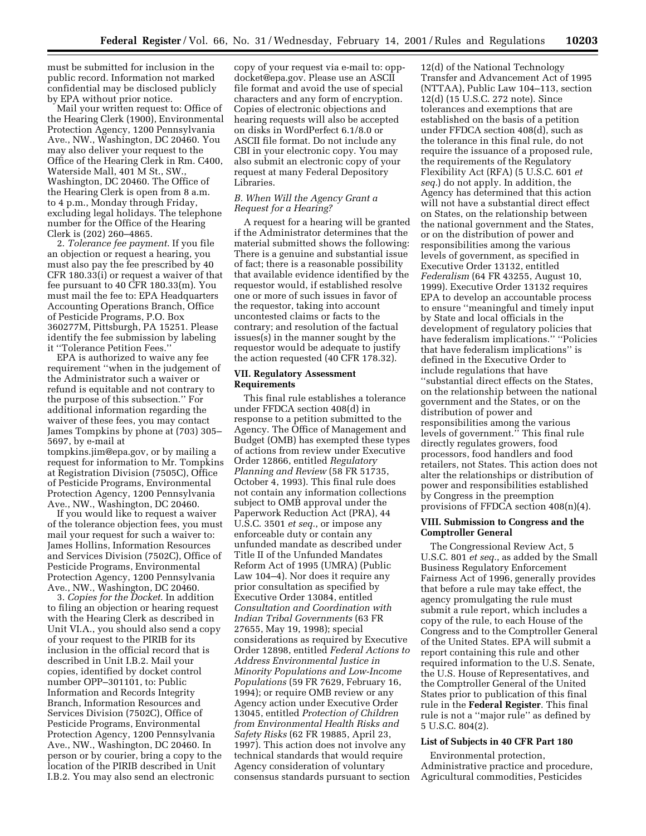must be submitted for inclusion in the public record. Information not marked confidential may be disclosed publicly by EPA without prior notice.

Mail your written request to: Office of the Hearing Clerk (1900), Environmental Protection Agency, 1200 Pennsylvania Ave., NW., Washington, DC 20460. You may also deliver your request to the Office of the Hearing Clerk in Rm. C400, Waterside Mall, 401 M St., SW., Washington, DC 20460. The Office of the Hearing Clerk is open from 8 a.m. to 4 p.m., Monday through Friday, excluding legal holidays. The telephone number for the Office of the Hearing Clerk is (202) 260–4865.

2. *Tolerance fee payment*. If you file an objection or request a hearing, you must also pay the fee prescribed by 40 CFR 180.33(i) or request a waiver of that fee pursuant to 40 CFR 180.33(m). You must mail the fee to: EPA Headquarters Accounting Operations Branch, Office of Pesticide Programs, P.O. Box 360277M, Pittsburgh, PA 15251. Please identify the fee submission by labeling it ''Tolerance Petition Fees.''

EPA is authorized to waive any fee requirement ''when in the judgement of the Administrator such a waiver or refund is equitable and not contrary to the purpose of this subsection.'' For additional information regarding the waiver of these fees, you may contact James Tompkins by phone at (703) 305– 5697, by e-mail at

tompkins.jim@epa.gov, or by mailing a request for information to Mr. Tompkins at Registration Division (7505C), Office of Pesticide Programs, Environmental Protection Agency, 1200 Pennsylvania Ave., NW., Washington, DC 20460.

If you would like to request a waiver of the tolerance objection fees, you must mail your request for such a waiver to: James Hollins, Information Resources and Services Division (7502C), Office of Pesticide Programs, Environmental Protection Agency, 1200 Pennsylvania Ave., NW., Washington, DC 20460.

3. *Copies for the Docket*. In addition to filing an objection or hearing request with the Hearing Clerk as described in Unit VI.A., you should also send a copy of your request to the PIRIB for its inclusion in the official record that is described in Unit I.B.2. Mail your copies, identified by docket control number OPP–301101, to: Public Information and Records Integrity Branch, Information Resources and Services Division (7502C), Office of Pesticide Programs, Environmental Protection Agency, 1200 Pennsylvania Ave., NW., Washington, DC 20460. In person or by courier, bring a copy to the location of the PIRIB described in Unit I.B.2. You may also send an electronic

copy of your request via e-mail to: oppdocket@epa.gov. Please use an ASCII file format and avoid the use of special characters and any form of encryption. Copies of electronic objections and hearing requests will also be accepted on disks in WordPerfect 6.1/8.0 or ASCII file format. Do not include any CBI in your electronic copy. You may also submit an electronic copy of your request at many Federal Depository Libraries.

## *B. When Will the Agency Grant a Request for a Hearing?*

A request for a hearing will be granted if the Administrator determines that the material submitted shows the following: There is a genuine and substantial issue of fact; there is a reasonable possibility that available evidence identified by the requestor would, if established resolve one or more of such issues in favor of the requestor, taking into account uncontested claims or facts to the contrary; and resolution of the factual issues(s) in the manner sought by the requestor would be adequate to justify the action requested (40 CFR 178.32).

## **VII. Regulatory Assessment Requirements**

This final rule establishes a tolerance under FFDCA section 408(d) in response to a petition submitted to the Agency. The Office of Management and Budget (OMB) has exempted these types of actions from review under Executive Order 12866, entitled *Regulatory Planning and Review* (58 FR 51735, October 4, 1993). This final rule does not contain any information collections subject to OMB approval under the Paperwork Reduction Act (PRA), 44 U.S.C. 3501 *et seq.*, or impose any enforceable duty or contain any unfunded mandate as described under Title II of the Unfunded Mandates Reform Act of 1995 (UMRA) (Public Law 104–4). Nor does it require any prior consultation as specified by Executive Order 13084, entitled *Consultation and Coordination with Indian Tribal Governments* (63 FR 27655, May 19, 1998); special considerations as required by Executive Order 12898, entitled *Federal Actions to Address Environmental Justice in Minority Populations and Low-Income Populations* (59 FR 7629, February 16, 1994); or require OMB review or any Agency action under Executive Order 13045, entitled *Protection of Children from Environmental Health Risks and Safety Risks* (62 FR 19885, April 23, 1997). This action does not involve any technical standards that would require Agency consideration of voluntary consensus standards pursuant to section

12(d) of the National Technology Transfer and Advancement Act of 1995 (NTTAA), Public Law 104–113, section 12(d) (15 U.S.C. 272 note). Since tolerances and exemptions that are established on the basis of a petition under FFDCA section 408(d), such as the tolerance in this final rule, do not require the issuance of a proposed rule, the requirements of the Regulatory Flexibility Act (RFA) (5 U.S.C. 601 *et seq.*) do not apply. In addition, the Agency has determined that this action will not have a substantial direct effect on States, on the relationship between the national government and the States, or on the distribution of power and responsibilities among the various levels of government, as specified in Executive Order 13132, entitled *Federalism* (64 FR 43255, August 10, 1999). Executive Order 13132 requires EPA to develop an accountable process to ensure ''meaningful and timely input by State and local officials in the development of regulatory policies that have federalism implications.'' ''Policies that have federalism implications'' is defined in the Executive Order to include regulations that have ''substantial direct effects on the States, on the relationship between the national government and the States, or on the distribution of power and responsibilities among the various levels of government.'' This final rule directly regulates growers, food processors, food handlers and food retailers, not States. This action does not alter the relationships or distribution of power and responsibilities established by Congress in the preemption provisions of FFDCA section 408(n)(4).

## **VIII. Submission to Congress and the Comptroller General**

The Congressional Review Act, 5 U.S.C. 801 *et seq.*, as added by the Small Business Regulatory Enforcement Fairness Act of 1996, generally provides that before a rule may take effect, the agency promulgating the rule must submit a rule report, which includes a copy of the rule, to each House of the Congress and to the Comptroller General of the United States. EPA will submit a report containing this rule and other required information to the U.S. Senate, the U.S. House of Representatives, and the Comptroller General of the United States prior to publication of this final rule in the **Federal Register**. This final rule is not a ''major rule'' as defined by 5 U.S.C. 804(2).

# **List of Subjects in 40 CFR Part 180**

Environmental protection, Administrative practice and procedure, Agricultural commodities, Pesticides